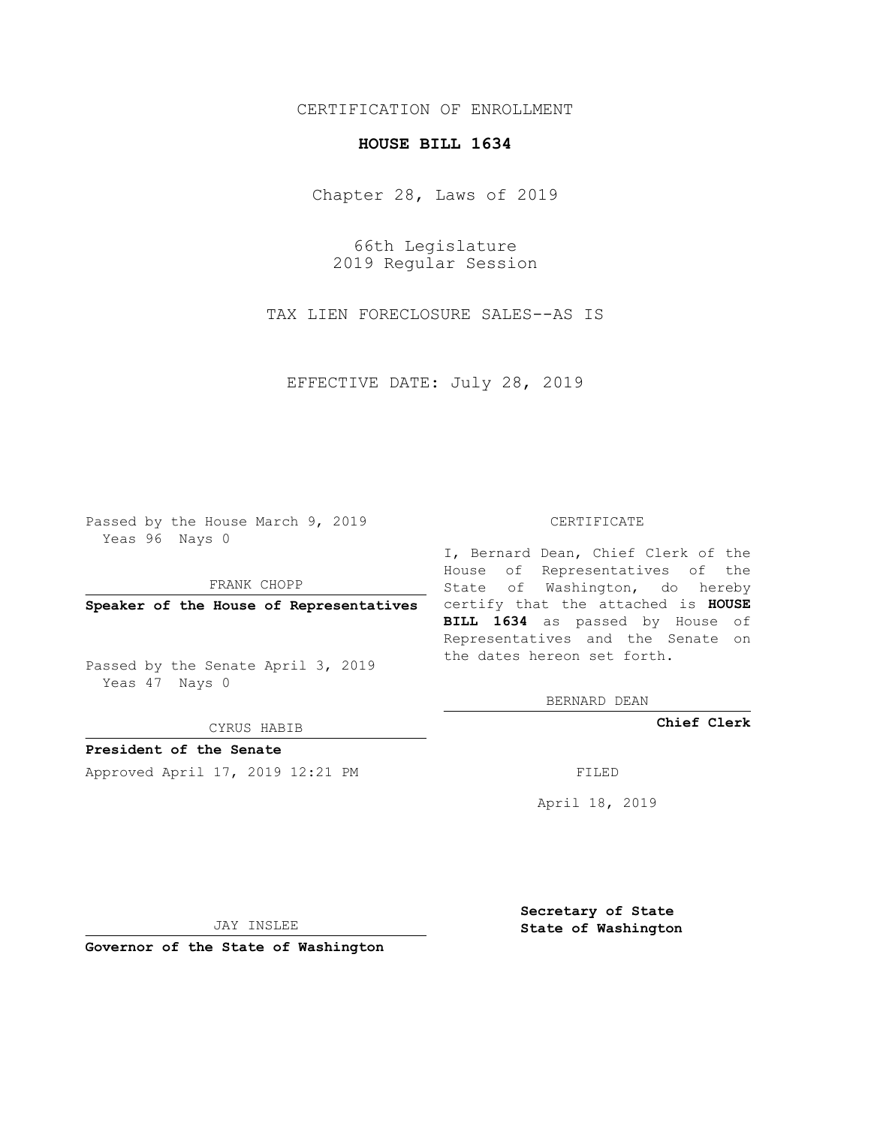## CERTIFICATION OF ENROLLMENT

## **HOUSE BILL 1634**

Chapter 28, Laws of 2019

66th Legislature 2019 Regular Session

TAX LIEN FORECLOSURE SALES--AS IS

EFFECTIVE DATE: July 28, 2019

Passed by the House March 9, 2019 Yeas 96 Nays 0

FRANK CHOPP

Passed by the Senate April 3, 2019 Yeas 47 Nays 0

CYRUS HABIB

**President of the Senate**

Approved April 17, 2019 12:21 PM FILED

## CERTIFICATE

**Speaker of the House of Representatives** certify that the attached is **HOUSE** I, Bernard Dean, Chief Clerk of the House of Representatives of the State of Washington, do hereby **BILL 1634** as passed by House of Representatives and the Senate on the dates hereon set forth.

BERNARD DEAN

**Chief Clerk**

April 18, 2019

JAY INSLEE

**Governor of the State of Washington**

**Secretary of State State of Washington**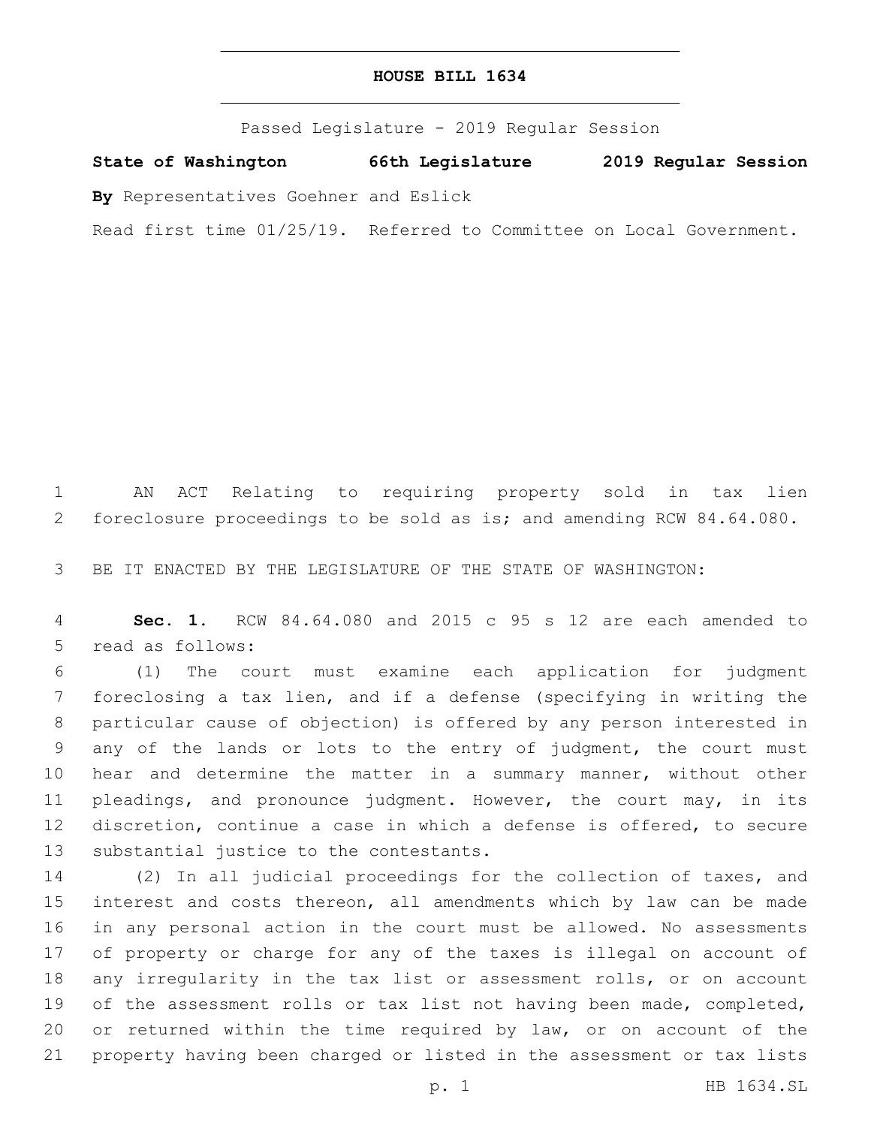Passed Legislature - 2019 Regular Session

**State of Washington 66th Legislature 2019 Regular Session**

**By** Representatives Goehner and Eslick

Read first time 01/25/19. Referred to Committee on Local Government.

 AN ACT Relating to requiring property sold in tax lien foreclosure proceedings to be sold as is; and amending RCW 84.64.080.

BE IT ENACTED BY THE LEGISLATURE OF THE STATE OF WASHINGTON:

 **Sec. 1.** RCW 84.64.080 and 2015 c 95 s 12 are each amended to 5 read as follows:

 (1) The court must examine each application for judgment foreclosing a tax lien, and if a defense (specifying in writing the particular cause of objection) is offered by any person interested in any of the lands or lots to the entry of judgment, the court must hear and determine the matter in a summary manner, without other pleadings, and pronounce judgment. However, the court may, in its discretion, continue a case in which a defense is offered, to secure 13 substantial justice to the contestants.

 (2) In all judicial proceedings for the collection of taxes, and interest and costs thereon, all amendments which by law can be made in any personal action in the court must be allowed. No assessments of property or charge for any of the taxes is illegal on account of any irregularity in the tax list or assessment rolls, or on account 19 of the assessment rolls or tax list not having been made, completed, or returned within the time required by law, or on account of the property having been charged or listed in the assessment or tax lists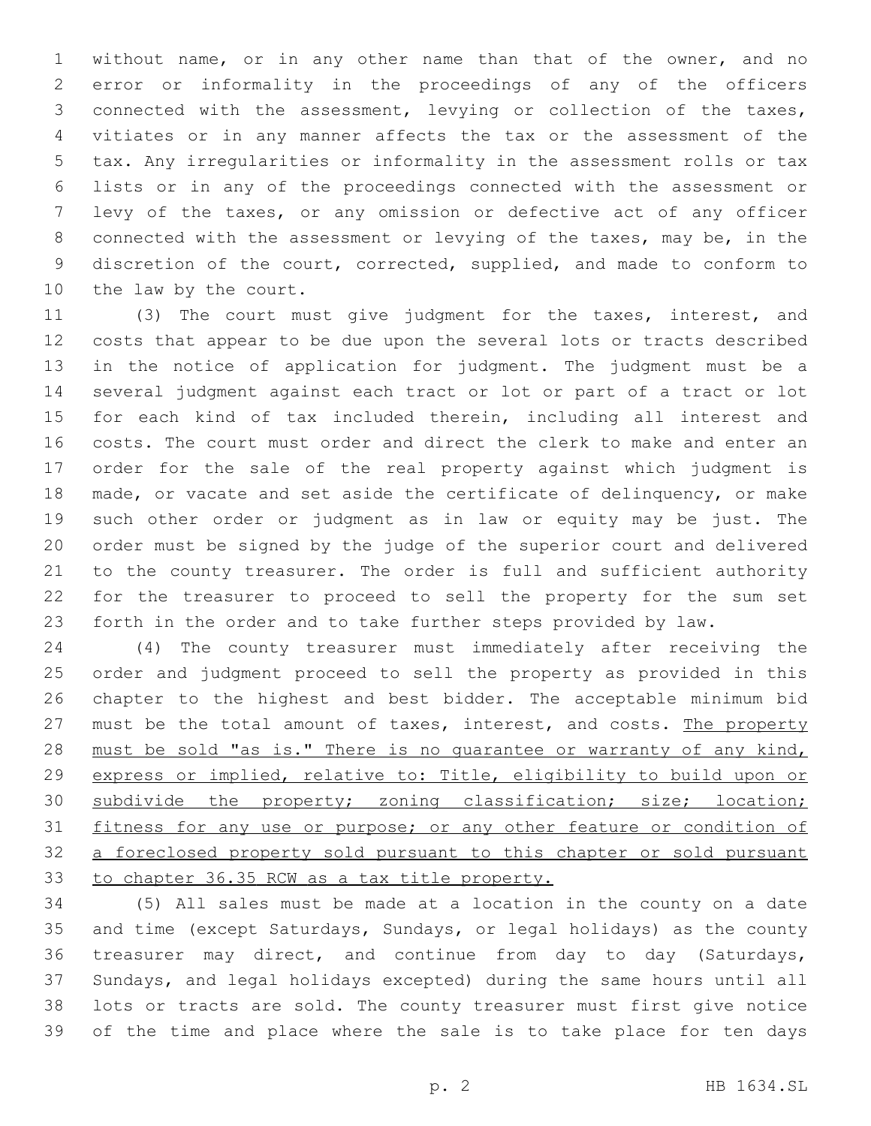without name, or in any other name than that of the owner, and no error or informality in the proceedings of any of the officers connected with the assessment, levying or collection of the taxes, vitiates or in any manner affects the tax or the assessment of the tax. Any irregularities or informality in the assessment rolls or tax lists or in any of the proceedings connected with the assessment or levy of the taxes, or any omission or defective act of any officer connected with the assessment or levying of the taxes, may be, in the discretion of the court, corrected, supplied, and made to conform to 10 the law by the court.

 (3) The court must give judgment for the taxes, interest, and costs that appear to be due upon the several lots or tracts described in the notice of application for judgment. The judgment must be a several judgment against each tract or lot or part of a tract or lot for each kind of tax included therein, including all interest and costs. The court must order and direct the clerk to make and enter an order for the sale of the real property against which judgment is made, or vacate and set aside the certificate of delinquency, or make such other order or judgment as in law or equity may be just. The order must be signed by the judge of the superior court and delivered to the county treasurer. The order is full and sufficient authority for the treasurer to proceed to sell the property for the sum set forth in the order and to take further steps provided by law.

 (4) The county treasurer must immediately after receiving the order and judgment proceed to sell the property as provided in this chapter to the highest and best bidder. The acceptable minimum bid 27 must be the total amount of taxes, interest, and costs. The property 28 must be sold "as is." There is no guarantee or warranty of any kind, express or implied, relative to: Title, eligibility to build upon or 30 subdivide the property; zoning classification; size; location; 31 fitness for any use or purpose; or any other feature or condition of a foreclosed property sold pursuant to this chapter or sold pursuant to chapter 36.35 RCW as a tax title property.

 (5) All sales must be made at a location in the county on a date and time (except Saturdays, Sundays, or legal holidays) as the county treasurer may direct, and continue from day to day (Saturdays, Sundays, and legal holidays excepted) during the same hours until all lots or tracts are sold. The county treasurer must first give notice of the time and place where the sale is to take place for ten days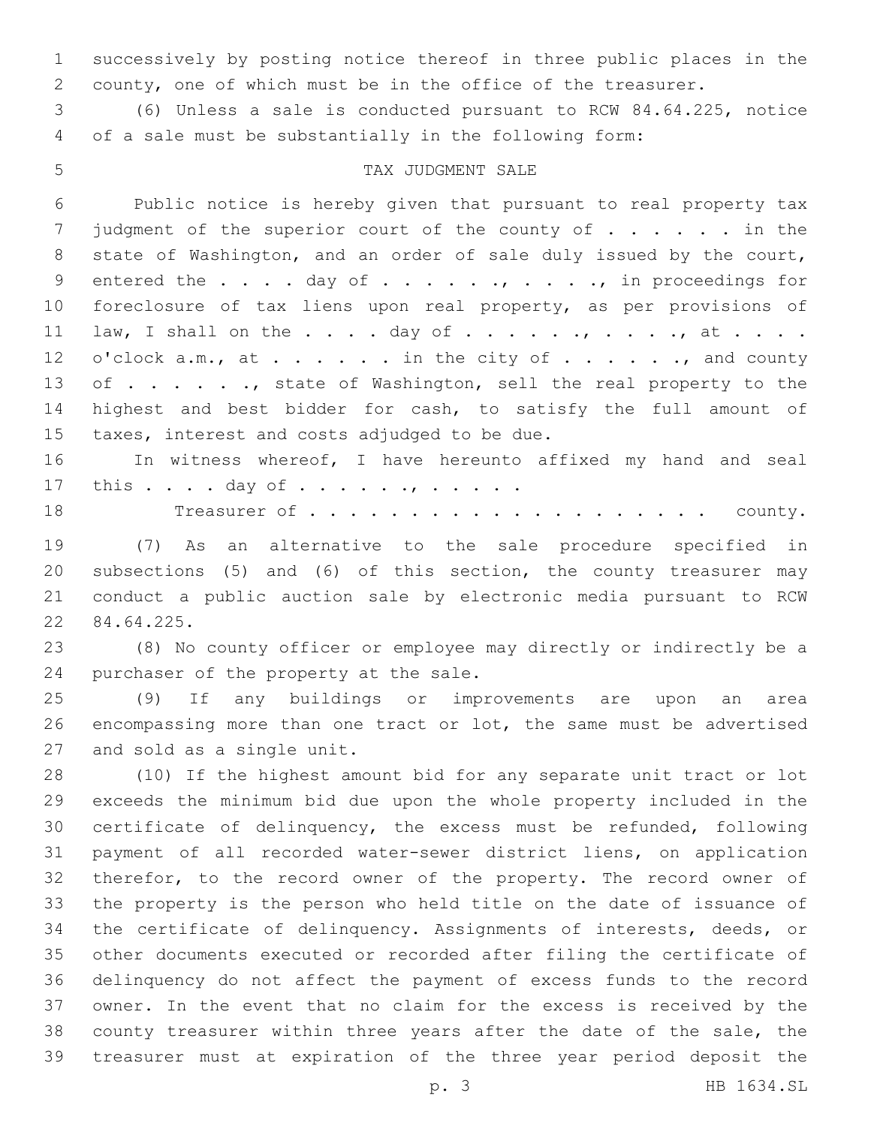successively by posting notice thereof in three public places in the county, one of which must be in the office of the treasurer.

 (6) Unless a sale is conducted pursuant to RCW 84.64.225, notice of a sale must be substantially in the following form:

## 5 TAX JUDGMENT SALE

 Public notice is hereby given that pursuant to real property tax 7 judgment of the superior court of the county of . . . . . in the state of Washington, and an order of sale duly issued by the court, 9 entered the . . . . day of . . . . . . , . . . ., in proceedings for foreclosure of tax liens upon real property, as per provisions of 11 law, I shall on the  $\ldots$  . day of  $\ldots$  . . .,  $\ldots$  . ., at . . . . 12 o'clock a.m., at . . . . . . in the city of . . . . . ., and county 13 of . . . . . ., state of Washington, sell the real property to the highest and best bidder for cash, to satisfy the full amount of 15 taxes, interest and costs adjudged to be due.

 In witness whereof, I have hereunto affixed my hand and seal 17 this . . . . day of . . . . . . , . . . . .

Treasurer of . . . . . . . . . . . . . . . . . . . . county.

 (7) As an alternative to the sale procedure specified in subsections (5) and (6) of this section, the county treasurer may conduct a public auction sale by electronic media pursuant to RCW 84.64.225.22

 (8) No county officer or employee may directly or indirectly be a 24 purchaser of the property at the sale.

 (9) If any buildings or improvements are upon an area encompassing more than one tract or lot, the same must be advertised 27 and sold as a single unit.

 (10) If the highest amount bid for any separate unit tract or lot exceeds the minimum bid due upon the whole property included in the certificate of delinquency, the excess must be refunded, following payment of all recorded water-sewer district liens, on application therefor, to the record owner of the property. The record owner of the property is the person who held title on the date of issuance of the certificate of delinquency. Assignments of interests, deeds, or other documents executed or recorded after filing the certificate of delinquency do not affect the payment of excess funds to the record owner. In the event that no claim for the excess is received by the county treasurer within three years after the date of the sale, the treasurer must at expiration of the three year period deposit the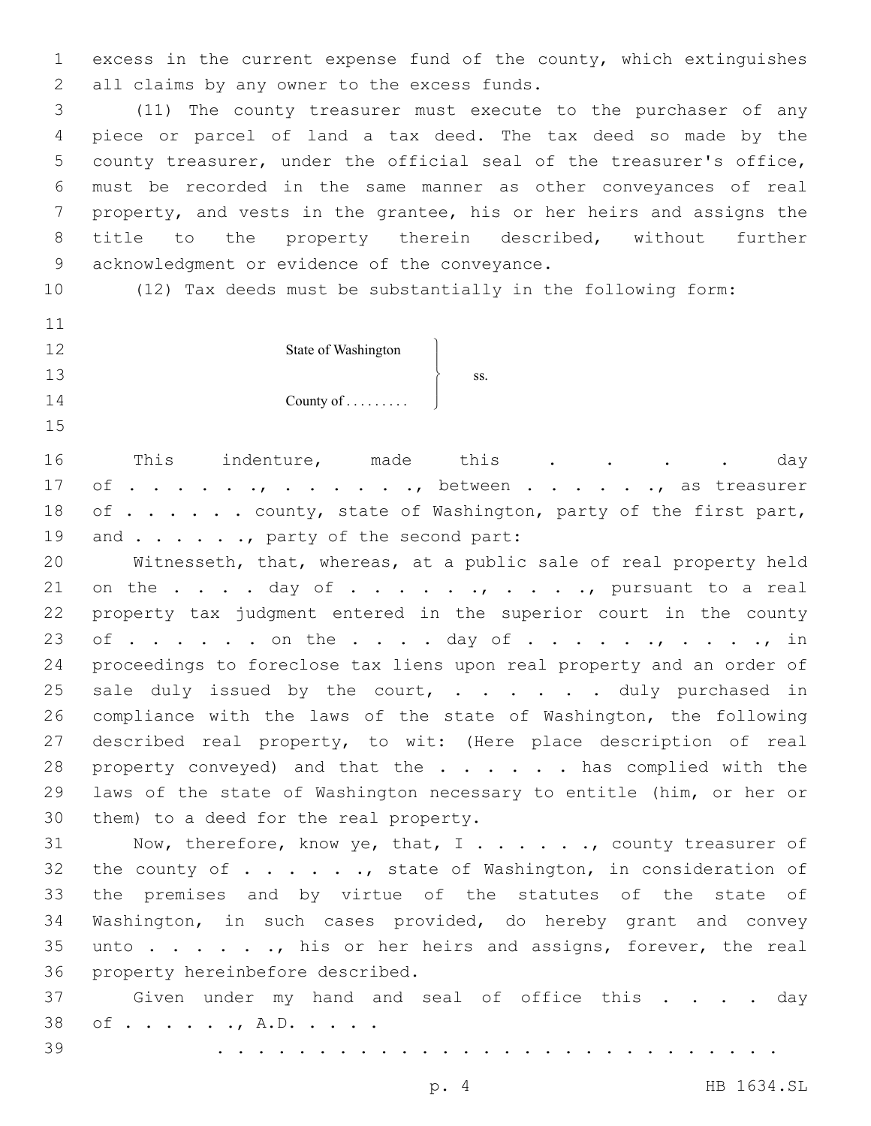1 excess in the current expense fund of the county, which extinguishes 2 all claims by any owner to the excess funds.

 (11) The county treasurer must execute to the purchaser of any piece or parcel of land a tax deed. The tax deed so made by the county treasurer, under the official seal of the treasurer's office, must be recorded in the same manner as other conveyances of real property, and vests in the grantee, his or her heirs and assigns the title to the property therein described, without further 9 acknowledgment or evidence of the conveyance.

- 10 (12) Tax deeds must be substantially in the following form:
- 11 12

13

14 15

 $\begin{matrix} \end{matrix}$  $\overline{ }$  $\left\{ \right.$  $\frac{1}{2}$ 

ss.

J

State of Washington

County of . . . . . . . . .

16 This indenture, made this . . . . day 17 of . . . . . ., . . . . . ., between . . . . . ., as treasurer 18 of . . . . . county, state of Washington, party of the first part, 19 and . . . . . ., party of the second part:

20 Witnesseth, that, whereas, at a public sale of real property held 21 on the  $\ldots$  . day of  $\ldots$  . . . . . . . . . . pursuant to a real 22 property tax judgment entered in the superior court in the county 23 of . . . . . . on the . . . . day of . . . . . . , . . . . , in 24 proceedings to foreclose tax liens upon real property and an order of 25 sale duly issued by the court,  $\cdots$  . . . . duly purchased in 26 compliance with the laws of the state of Washington, the following 27 described real property, to wit: (Here place description of real 28 property conveyed) and that the . . . . . has complied with the 29 laws of the state of Washington necessary to entitle (him, or her or 30 them) to a deed for the real property.

31 Now, therefore, know ye, that, I . . . . . . , county treasurer of 32 the county of . . . . . . , state of Washington, in consideration of 33 the premises and by virtue of the statutes of the state of 34 Washington, in such cases provided, do hereby grant and convey 35 unto . . . . . , his or her heirs and assigns, forever, the real 36 property hereinbefore described.

37 Given under my hand and seal of office this . . . . day 38 of . . . . . ., A.D. . . . .

39 . . . . . . . . . . . . . . . . . . . . . . . . . . . .